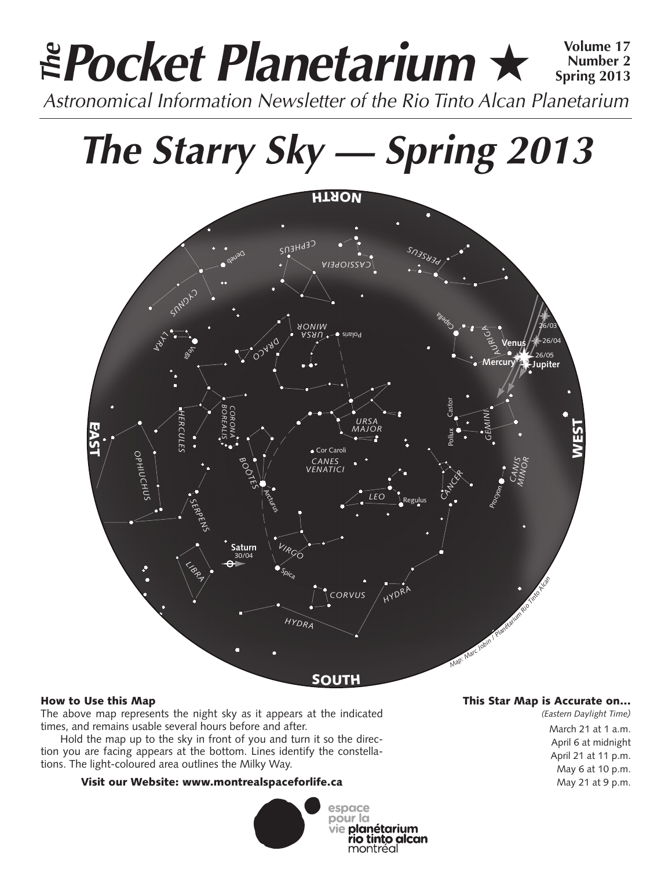# **Pocket Planetarium** ★ **Volume 17** Astronomical Information Newsletter of the Rio Tinto Alcan Planetarium **The Number 2 Spring 2013**

# **The Starry Sky — Spring 2013**



### How to Use this Map

The above map represents the night sky as it appears at the indicated times, and remains usable several hours before and after.

Hold the map up to the sky in front of you and turn it so the direction you are facing appears at the bottom. Lines identify the constellations. The light-coloured area outlines the Milky Way.

### Visit our Website: www.montrealspaceforlife.ca



## This Star Map is Accurate on…

*(Eastern Daylight Time)* March 21 at 1 a.m. April 6 at midnight April 21 at 11 p.m. May 6 at 10 p.m. May 21 at 9 p.m.